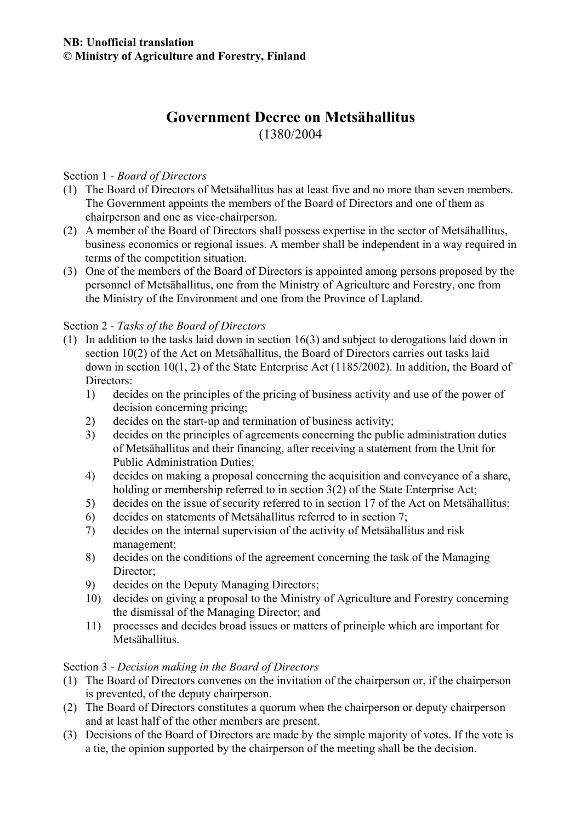# **Government Decree on Metsähallitus**  (1380/2004

#### Section 1 - *Board of Directors*

- (1) The Board of Directors of Metsähallitus has at least five and no more than seven members. The Government appoints the members of the Board of Directors and one of them as chairperson and one as vice-chairperson.
- (2) A member of the Board of Directors shall possess expertise in the sector of Metsähallitus, business economics or regional issues. A member shall be independent in a way required in terms of the competition situation.
- (3) One of the members of the Board of Directors is appointed among persons proposed by the personnel of Metsähallitus, one from the Ministry of Agriculture and Forestry, one from the Ministry of the Environment and one from the Province of Lapland.

#### Section 2 - *Tasks of the Board of Directors*

- (1) In addition to the tasks laid down in section 16(3) and subject to derogations laid down in section 10(2) of the Act on Metsähallitus, the Board of Directors carries out tasks laid down in section 10(1, 2) of the State Enterprise Act (1185/2002). In addition, the Board of Directors:
	- 1) decides on the principles of the pricing of business activity and use of the power of decision concerning pricing;
	- 2) decides on the start-up and termination of business activity;
	- 3) decides on the principles of agreements concerning the public administration duties of Metsähallitus and their financing, after receiving a statement from the Unit for Public Administration Duties;
	- 4) decides on making a proposal concerning the acquisition and conveyance of a share, holding or membership referred to in section 3(2) of the State Enterprise Act;
	- 5) decides on the issue of security referred to in section 17 of the Act on Metsähallitus;
	- 6) decides on statements of Metsähallitus referred to in section 7;
	- 7) decides on the internal supervision of the activity of Metsähallitus and risk management;
	- 8) decides on the conditions of the agreement concerning the task of the Managing Director:
	- 9) decides on the Deputy Managing Directors;
	- 10) decides on giving a proposal to the Ministry of Agriculture and Forestry concerning the dismissal of the Managing Director; and
	- 11) processes and decides broad issues or matters of principle which are important for Metsähallitus.

### Section 3 - *Decision making in the Board of Directors*

- (1) The Board of Directors convenes on the invitation of the chairperson or, if the chairperson is prevented, of the deputy chairperson.
- (2) The Board of Directors constitutes a quorum when the chairperson or deputy chairperson and at least half of the other members are present.
- (3) Decisions of the Board of Directors are made by the simple majority of votes. If the vote is a tie, the opinion supported by the chairperson of the meeting shall be the decision.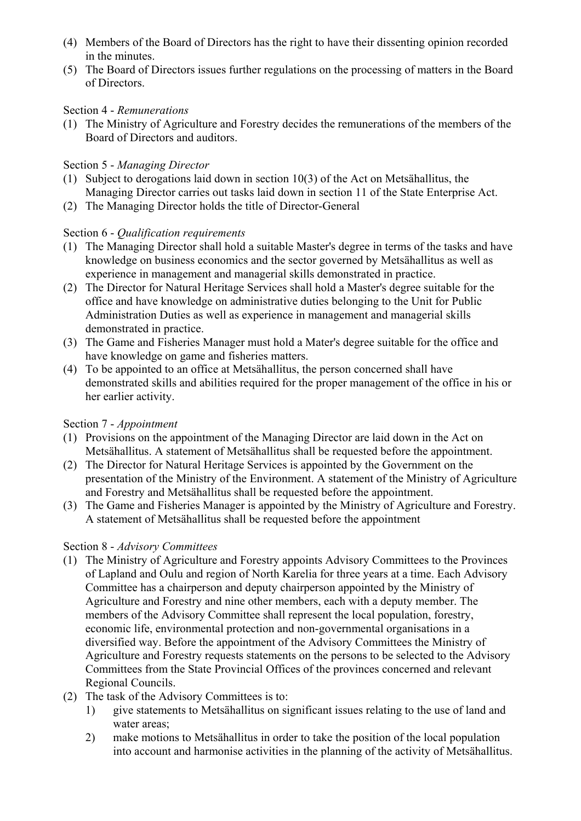- (4) Members of the Board of Directors has the right to have their dissenting opinion recorded in the minutes.
- (5) The Board of Directors issues further regulations on the processing of matters in the Board of Directors.

## Section 4 - *Remunerations*

(1) The Ministry of Agriculture and Forestry decides the remunerations of the members of the Board of Directors and auditors.

# Section 5 - *Managing Director*

- (1) Subject to derogations laid down in section 10(3) of the Act on Metsähallitus, the Managing Director carries out tasks laid down in section 11 of the State Enterprise Act.
- (2) The Managing Director holds the title of Director-General

# Section 6 - *Qualification requirements*

- (1) The Managing Director shall hold a suitable Master's degree in terms of the tasks and have knowledge on business economics and the sector governed by Metsähallitus as well as experience in management and managerial skills demonstrated in practice.
- (2) The Director for Natural Heritage Services shall hold a Master's degree suitable for the office and have knowledge on administrative duties belonging to the Unit for Public Administration Duties as well as experience in management and managerial skills demonstrated in practice.
- (3) The Game and Fisheries Manager must hold a Mater's degree suitable for the office and have knowledge on game and fisheries matters.
- (4) To be appointed to an office at Metsähallitus, the person concerned shall have demonstrated skills and abilities required for the proper management of the office in his or her earlier activity.

# Section 7 - *Appointment*

- (1) Provisions on the appointment of the Managing Director are laid down in the Act on Metsähallitus. A statement of Metsähallitus shall be requested before the appointment.
- (2) The Director for Natural Heritage Services is appointed by the Government on the presentation of the Ministry of the Environment. A statement of the Ministry of Agriculture and Forestry and Metsähallitus shall be requested before the appointment.
- (3) The Game and Fisheries Manager is appointed by the Ministry of Agriculture and Forestry. A statement of Metsähallitus shall be requested before the appointment

# Section 8 - *Advisory Committees*

- (1) The Ministry of Agriculture and Forestry appoints Advisory Committees to the Provinces of Lapland and Oulu and region of North Karelia for three years at a time. Each Advisory Committee has a chairperson and deputy chairperson appointed by the Ministry of Agriculture and Forestry and nine other members, each with a deputy member. The members of the Advisory Committee shall represent the local population, forestry, economic life, environmental protection and non-governmental organisations in a diversified way. Before the appointment of the Advisory Committees the Ministry of Agriculture and Forestry requests statements on the persons to be selected to the Advisory Committees from the State Provincial Offices of the provinces concerned and relevant Regional Councils.
- (2) The task of the Advisory Committees is to:
	- 1) give statements to Metsähallitus on significant issues relating to the use of land and water areas;
	- 2) make motions to Metsähallitus in order to take the position of the local population into account and harmonise activities in the planning of the activity of Metsähallitus.